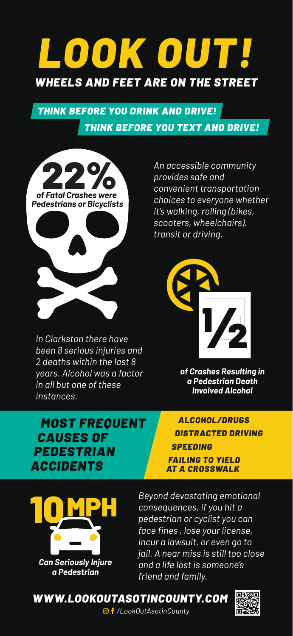# *LOOK OUT! WHEELS AND FEET ARE ON THE STREET*

### *THINK BEFORE YOU DRINK AND DRIVE! THINK BEFORE YOU TEXT AND DRIVE!*



*In Clarkston there have been 8 serious injuries and 2 deaths within the last 8 years. Alcohol was a factor in all but one of these instances.* 

*An accessible community provides safe and convenient transportation choices to everyone whether it's walking, rolling (bikes, scooters, wheelchairs), transit or driving.* 



*of Crashes Resulting in a Pedestrian Death Involved Alcohol*

#### *MOST FREQUENT CAUSES OF PEDESTRIAN ACCIDENTS*

*ALCOHOL/DRUGS DISTRACTED DRIVING SPEEDING*

*FAILING TO YIELD AT A CROSSWALK*



*Beyond devastating emotional consequences, if you hit a pedestrian or cyclist you can face fines , lose your license, incur a lawsuit, or even go to jail. A near miss is still too close and a life lost is someone's friend and family.* 

*WWW.LOOKOUTASOTINCOUNTY.COM*



*/LookOutAsotinCounty*